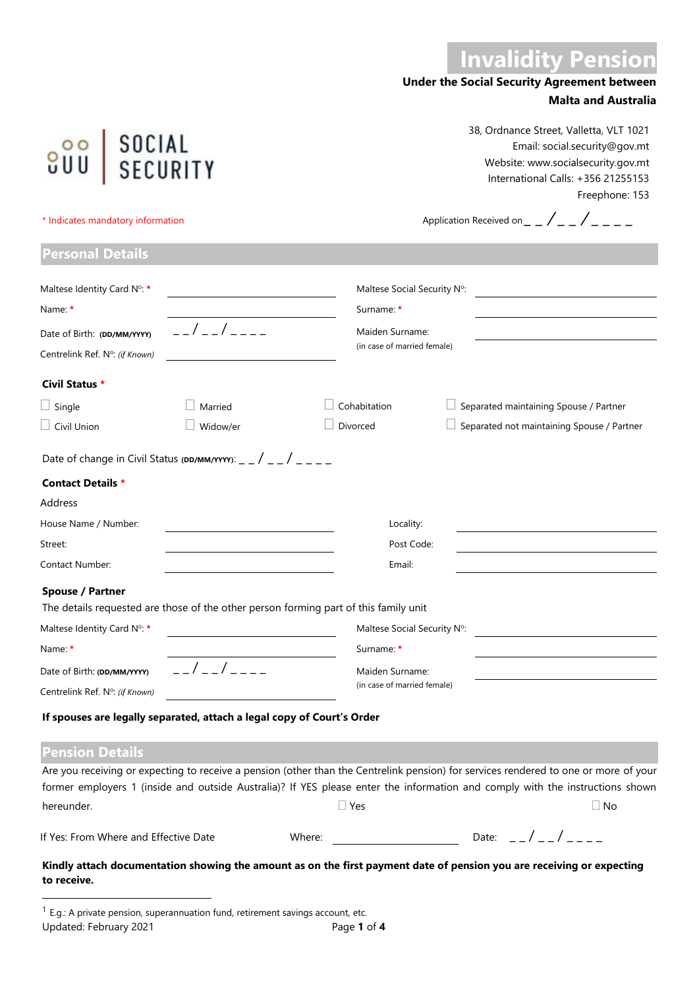# **Invalidity Pension**

## **Under the Social Security Agreement between Malta and Australia**

38, Ordnance Street, Valletta, VLT 1021 Email: social.security@gov.mt Website: www.socialsecurity.gov.mt International Calls: +356 21255153 Freephone: 153

**800** SOCIAL<br>CUU SECURITY

**Personal Details**

\* Indicates mandatory information  $\blacksquare$   $\blacksquare$   $\blacksquare$   $\blacksquare$   $\blacksquare$   $\blacksquare$   $\blacksquare$   $\blacksquare$   $\blacksquare$   $\blacksquare$   $\blacksquare$   $\blacksquare$   $\blacksquare$   $\blacksquare$   $\blacksquare$   $\blacksquare$   $\blacksquare$   $\blacksquare$   $\blacksquare$   $\blacksquare$   $\blacksquare$   $\blacksquare$   $\blacksquare$   $\blacksquare$   $\blacksquare$   $\blacksquare$   $\blacksquare$ 

| Maltese Identity Card N°: *                                            |                     | Maltese Social Security N°:                                                          |                                                                                                                                      |  |  |  |  |  |
|------------------------------------------------------------------------|---------------------|--------------------------------------------------------------------------------------|--------------------------------------------------------------------------------------------------------------------------------------|--|--|--|--|--|
| Name: *                                                                |                     | Surname: *                                                                           |                                                                                                                                      |  |  |  |  |  |
| Date of Birth: (DD/MM/YYYY)<br>Centrelink Ref. N°: (if Known)          | _ _ / _ _ / _ _ _ _ | Maiden Surname:                                                                      | (in case of married female)                                                                                                          |  |  |  |  |  |
| Civil Status *                                                         |                     |                                                                                      |                                                                                                                                      |  |  |  |  |  |
| $\Box$ Single                                                          | Married             | Cohabitation                                                                         | Separated maintaining Spouse / Partner                                                                                               |  |  |  |  |  |
| $\Box$ Civil Union                                                     | Widow/er            | Divorced                                                                             | Separated not maintaining Spouse / Partner                                                                                           |  |  |  |  |  |
| Date of change in Civil Status (DD/MM/YYYY): _ _ / _ _ / _ _ _         |                     |                                                                                      |                                                                                                                                      |  |  |  |  |  |
| <b>Contact Details *</b>                                               |                     |                                                                                      |                                                                                                                                      |  |  |  |  |  |
| Address                                                                |                     |                                                                                      |                                                                                                                                      |  |  |  |  |  |
| House Name / Number:                                                   |                     | Locality:                                                                            |                                                                                                                                      |  |  |  |  |  |
| Street:                                                                |                     | Post Code:                                                                           |                                                                                                                                      |  |  |  |  |  |
| Contact Number:                                                        |                     | Email:                                                                               |                                                                                                                                      |  |  |  |  |  |
| Spouse / Partner                                                       |                     |                                                                                      |                                                                                                                                      |  |  |  |  |  |
|                                                                        |                     | The details requested are those of the other person forming part of this family unit |                                                                                                                                      |  |  |  |  |  |
| Maltese Identity Card N°: *                                            |                     | Maltese Social Security N°:                                                          |                                                                                                                                      |  |  |  |  |  |
| Name: *                                                                |                     | Surname: *                                                                           |                                                                                                                                      |  |  |  |  |  |
| Date of Birth: (DD/MM/YYYY)                                            | $\frac{1}{2}$       | Maiden Surname:                                                                      |                                                                                                                                      |  |  |  |  |  |
| Centrelink Ref. N°: (if Known)                                         |                     | (in case of married female)                                                          |                                                                                                                                      |  |  |  |  |  |
| If spouses are legally separated, attach a legal copy of Court's Order |                     |                                                                                      |                                                                                                                                      |  |  |  |  |  |
| <b>Pension Details</b>                                                 |                     |                                                                                      |                                                                                                                                      |  |  |  |  |  |
|                                                                        |                     |                                                                                      | Are you receiving or expecting to receive a pension (other than the Centrelink pension) for services rendered to one or more of your |  |  |  |  |  |

| If Yes: From Where and Effective Date | Where <sup>.</sup> | Date: |  |  |
|---------------------------------------|--------------------|-------|--|--|
|                                       |                    |       |  |  |

hereunder.  $\Box$  Yes  $\Box$  Yes  $\Box$  No

**Kindly attach documentation showing the amount as on the first payment date of pension you are receiving or expecting to receive.**

Updated: February 2021 **Page 1** of 4  $<sup>1</sup>$  E.g.: A private pension, superannuation fund, retirement savings account, etc.</sup>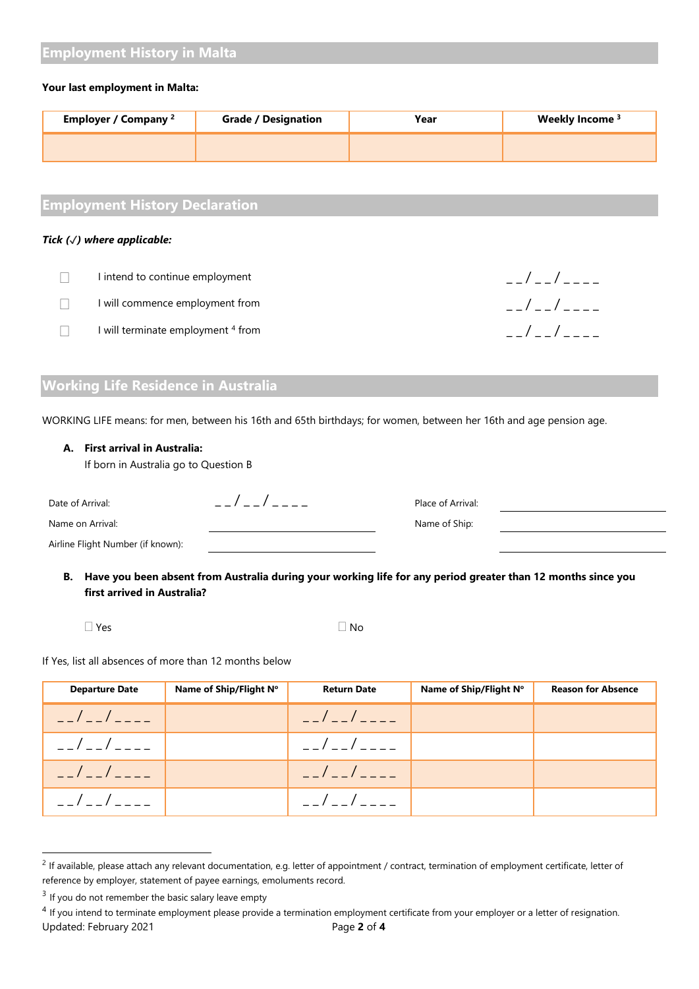# **Employment History in Malta**

#### **Your last employment in Malta:**

| Employer / Company <sup>2</sup> | <b>Grade / Designation</b> | Year | Weekly Income <sup>3</sup> |
|---------------------------------|----------------------------|------|----------------------------|
|                                 |                            |      |                            |

 $I = I - I - I - I - I$ 

 $1 - 1 - 1 - 1 - 1 = 0$ 

 $f = -1/2 - 1/2 - 1/2$ 

# **Employment History Declaration**

#### *Tick (*✓*) where applicable:*

| I intend to continue employment    |
|------------------------------------|
| I will commence employment from    |
| I will terminate employment 4 from |

# **Working Life Residence in Australia**

WORKING LIFE means: for men, between his 16th and 65th birthdays; for women, between her 16th and age pension age.

#### **A. First arrival in Australia:**

If born in Australia go to Question B

| Date of Arrival:                  | Place of Arrival: |  |
|-----------------------------------|-------------------|--|
| Name on Arrival:                  | Name of Ship:     |  |
| Airline Flight Number (if known): |                   |  |

**B. Have you been absent from Australia during your working life for any period greater than 12 months since you first arrived in Australia?**

| $\Box$ Yes | $\square$ No |
|------------|--------------|
|            |              |

If Yes, list all absences of more than 12 months below

| <b>Departure Date</b> | Name of Ship/Flight N° | <b>Return Date</b> | Name of Ship/Flight N° | <b>Reason for Absence</b> |
|-----------------------|------------------------|--------------------|------------------------|---------------------------|
| $  /$ $  /$ $   -$    |                        | $  /$ $    -$      |                        |                           |
| __/__/____            |                        | __/__/____         |                        |                           |
| $ /$ $ /$ $   -$      |                        | $  /$ $  /$ $   -$ |                        |                           |
| $ /$ $ /$ $   -$      |                        | $ /$ $ /$ $  -$    |                        |                           |

 $<sup>2</sup>$  If available, please attach any relevant documentation, e.g. letter of appointment / contract, termination of employment certificate, letter of</sup> reference by employer, statement of payee earnings, emoluments record.

 $3$  If you do not remember the basic salary leave empty

Updated: February 2021 Page **2** of **4** <sup>4</sup> If you intend to terminate employment please provide a termination employment certificate from your employer or a letter of resignation.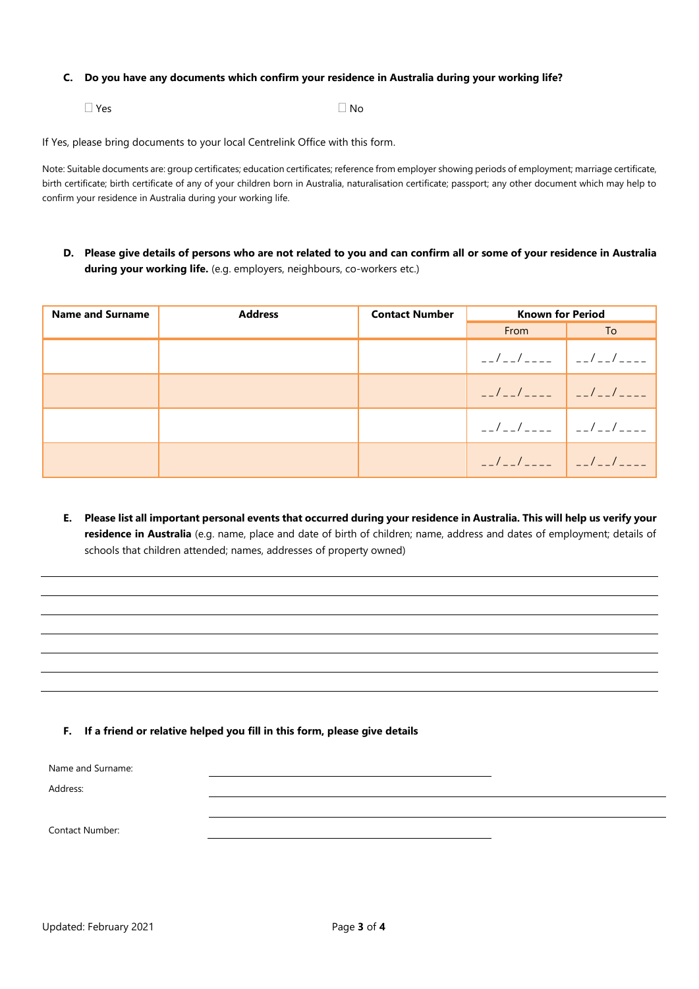#### **C. Do you have any documents which confirm your residence in Australia during your working life?**

 $\Box$  Yes  $\Box$  No

If Yes, please bring documents to your local Centrelink Office with this form.

Note: Suitable documents are: group certificates; education certificates; reference from employer showing periods of employment; marriage certificate, birth certificate; birth certificate of any of your children born in Australia, naturalisation certificate; passport; any other document which may help to confirm your residence in Australia during your working life.

**D. Please give details of persons who are not related to you and can confirm all or some of your residence in Australia during your working life.** (e.g. employers, neighbours, co-workers etc.)

| <b>Name and Surname</b> | <b>Address</b> | <b>Contact Number</b> | <b>Known for Period</b>                   |    |  |
|-------------------------|----------------|-----------------------|-------------------------------------------|----|--|
|                         |                |                       | From                                      | To |  |
|                         |                |                       | $-1$ - $-1$ - - - - $-1$ - $-1$ - - - - - |    |  |
|                         |                |                       |                                           |    |  |
|                         |                |                       | $-1$ - $-1$ - - - - $-1$ - $-1$ - - - - - |    |  |
|                         |                |                       |                                           |    |  |

**E. Please list all important personal events that occurred during your residence in Australia. This will help us verify your residence in Australia** (e.g. name, place and date of birth of children; name, address and dates of employment; details of schools that children attended; names, addresses of property owned)

#### **F. If a friend or relative helped you fill in this form, please give details**

Name and Surname:

Address:

Contact Number: